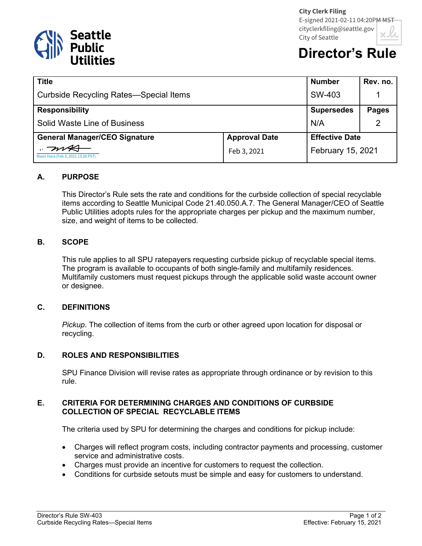

# **Director's Ru**

| <b>Title</b>                                  |                      | <b>Number</b>         | Rev. no.     |
|-----------------------------------------------|----------------------|-----------------------|--------------|
| <b>Curbside Recycling Rates-Special Items</b> |                      | SW-403                |              |
| <b>Responsibility</b>                         |                      | <b>Supersedes</b>     | <b>Pages</b> |
| Solid Waste Line of Business                  |                      | N/A                   | 2            |
| <b>General Manager/CEO Signature</b>          | <b>Approval Date</b> | <b>Effective Date</b> |              |
| Mami Hara (Feb 3, 2021 13:28 PST)             | Feb 3, 2021          | February 15, 2021     |              |

## **A. PURPOSE**

This Director's Rule sets the rate and conditions for the curbside collection of special recyclable items according to Seattle Municipal Code 21.40.050.A.7. The General Manager/CEO of Seattle Public Utilities adopts rules for the appropriate charges per pickup and the maximum number, size, and weight of items to be collected.

### **B. SCOPE**

This rule applies to all SPU ratepayers requesting curbside pickup of recyclable special items. The program is available to occupants of both single-family and multifamily residences. Multifamily customers must request pickups through the applicable solid waste account owner or designee.

#### **C. DEFINITIONS**

*Pickup*. The collection of items from the curb or other agreed upon location for disposal or recycling.

## **D. ROLES AND RESPONSIBILITIES**

SPU Finance Division will revise rates as appropriate through ordinance or by revision to this rule.

### **E. CRITERIA FOR DETERMINING CHARGES AND CONDITIONS OF CURBSIDE COLLECTION OF SPECIAL RECYCLABLE ITEMS**

The criteria used by SPU for determining the charges and conditions for pickup include:

- Charges will reflect program costs, including contractor payments and processing, customer service and administrative costs.
- Charges must provide an incentive for customers to request the collection.
- Conditions for curbside setouts must be simple and easy for customers to understand.